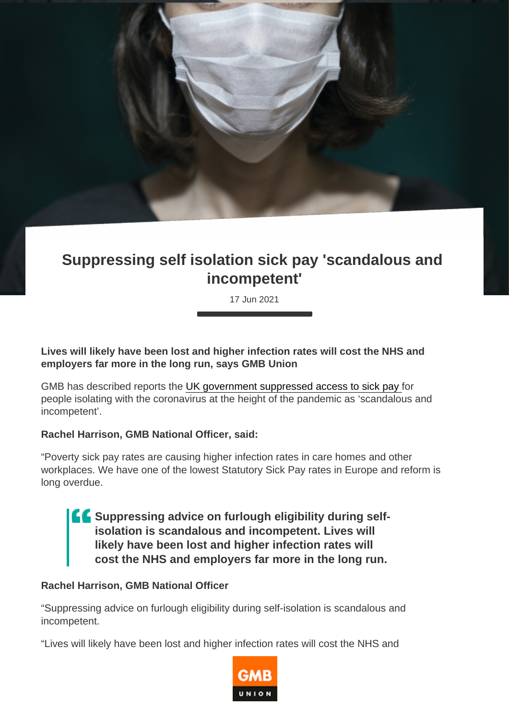## Suppressing self isolation sick pay 'scandalous and incompetent'

17 Jun 2021

Lives will likely have been lost and higher infection rates will cost the NHS and employers far more in the long run, says GMB Union

GMB has described reports the [UK government suppressed access to sick pay](https://www.politico.eu/newsletter/london-playbook/politico-london-playbook-sick-pay-shocker-delta-data-its-by-election-day/) for people isolating with the coronavirus at the height of the pandemic as 'scandalous and incompetent'.

Rachel Harrison, GMB National Officer, said:

"Poverty sick pay rates are causing higher infection rates in care homes and other workplaces. We have one of the lowest Statutory Sick Pay rates in Europe and reform is long overdue.

> Suppressing advice on furlough eligibility during selfisolation is scandalous and incompetent. Lives will likely have been lost and higher infection rates will cost the NHS and employers far more in the long run.

Rachel Harrison, GMB National Officer

"Suppressing advice on furlough eligibility during self-isolation is scandalous and incompetent.

"Lives will likely have been lost and higher infection rates will cost the NHS and